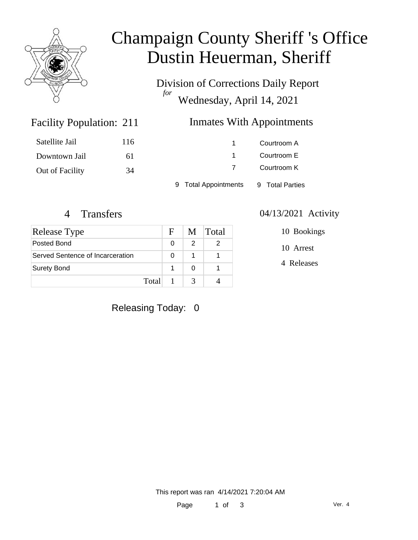

# Champaign County Sheriff 's Office Dustin Heuerman, Sheriff

Division of Corrections Daily Report *for* Wednesday, April 14, 2021

### Inmates With Appointments

| Satellite Jail  | 116 |                      | Courtroom A     |  |
|-----------------|-----|----------------------|-----------------|--|
| Downtown Jail   | 6 I |                      | Courtroom E     |  |
| Out of Facility | 34  |                      | Courtroom K     |  |
|                 |     | 9 Total Appointments | 9 Total Parties |  |

Facility Population: 211

| Release Type                     | $\mathbf{F}$ |   | M Total |
|----------------------------------|--------------|---|---------|
| Posted Bond                      |              | 2 |         |
| Served Sentence of Incarceration |              |   |         |
| <b>Surety Bond</b>               |              |   |         |
|                                  | Total        | 2 |         |

#### 4 Transfers 04/13/2021 Activity

10 Bookings

10 Arrest

4 Releases

### Releasing Today: 0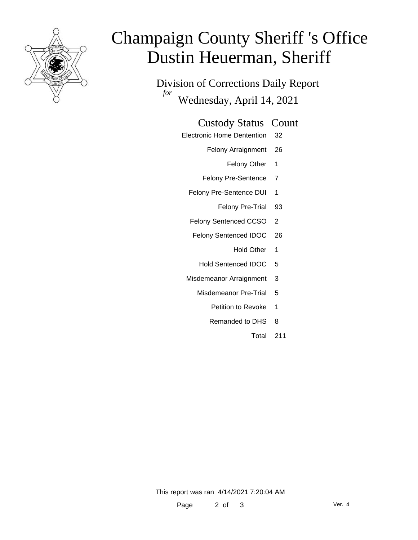

# Champaign County Sheriff 's Office Dustin Heuerman, Sheriff

Division of Corrections Daily Report *for* Wednesday, April 14, 2021

#### Custody Status Count

- Electronic Home Dentention 32
	- Felony Arraignment 26
		- Felony Other 1
	- Felony Pre-Sentence 7
	- Felony Pre-Sentence DUI 1
		- Felony Pre-Trial 93
	- Felony Sentenced CCSO 2
	- Felony Sentenced IDOC 26
		- Hold Other 1
		- Hold Sentenced IDOC 5
	- Misdemeanor Arraignment 3
		- Misdemeanor Pre-Trial 5
			- Petition to Revoke 1
			- Remanded to DHS 8
				- Total 211

This report was ran 4/14/2021 7:20:04 AM